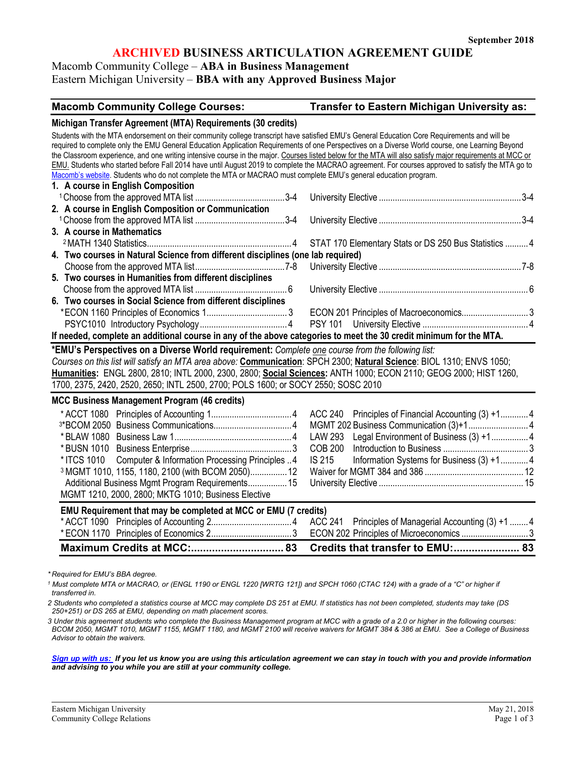## **ARCHIVED BUSINESS ARTICULATION AGREEMENT GUIDE**

## Macomb Community College – **ABA in Business Management**

Eastern Michigan University – **BBA with any Approved Business Major**

# **Macomb Community College Courses: Transfer to Eastern Michigan University as:**

| Michigan Transfer Agreement (MTA) Requirements (30 credits)                                                                                                                                                                                                          |                                                           |  |  |  |
|----------------------------------------------------------------------------------------------------------------------------------------------------------------------------------------------------------------------------------------------------------------------|-----------------------------------------------------------|--|--|--|
| Students with the MTA endorsement on their community college transcript have satisfied EMU's General Education Core Requirements and will be                                                                                                                         |                                                           |  |  |  |
| required to complete only the EMU General Education Application Requirements of one Perspectives on a Diverse World course, one Learning Beyond                                                                                                                      |                                                           |  |  |  |
| the Classroom experience, and one writing intensive course in the major. Courses listed below for the MTA will also satisfy major requirements at MCC or                                                                                                             |                                                           |  |  |  |
| EMU. Students who started before Fall 2014 have until August 2019 to complete the MACRAO agreement. For courses approved to satisfy the MTA go to<br>Macomb's website. Students who do not complete the MTA or MACRAO must complete EMU's general education program. |                                                           |  |  |  |
| 1. A course in English Composition                                                                                                                                                                                                                                   |                                                           |  |  |  |
|                                                                                                                                                                                                                                                                      |                                                           |  |  |  |
| 2. A course in English Composition or Communication                                                                                                                                                                                                                  |                                                           |  |  |  |
|                                                                                                                                                                                                                                                                      |                                                           |  |  |  |
| 3. A course in Mathematics                                                                                                                                                                                                                                           |                                                           |  |  |  |
|                                                                                                                                                                                                                                                                      | STAT 170 Elementary Stats or DS 250 Bus Statistics  4     |  |  |  |
| 4. Two courses in Natural Science from different disciplines (one lab required)                                                                                                                                                                                      |                                                           |  |  |  |
|                                                                                                                                                                                                                                                                      |                                                           |  |  |  |
| 5. Two courses in Humanities from different disciplines                                                                                                                                                                                                              |                                                           |  |  |  |
|                                                                                                                                                                                                                                                                      |                                                           |  |  |  |
| 6. Two courses in Social Science from different disciplines                                                                                                                                                                                                          |                                                           |  |  |  |
|                                                                                                                                                                                                                                                                      |                                                           |  |  |  |
|                                                                                                                                                                                                                                                                      |                                                           |  |  |  |
| If needed, complete an additional course in any of the above categories to meet the 30 credit minimum for the MTA.                                                                                                                                                   |                                                           |  |  |  |
| *EMU's Perspectives on a Diverse World requirement: Complete one course from the following list:                                                                                                                                                                     |                                                           |  |  |  |
|                                                                                                                                                                                                                                                                      |                                                           |  |  |  |
| Courses on this list will satisfy an MTA area above: Communication: SPCH 2300; Natural Science: BIOL 1310; ENVS 1050;<br>Humanities: ENGL 2800, 2810; INTL 2000, 2300, 2800; Social Sciences: ANTH 1000; ECON 2110; GEOG 2000; HIST 1260,                            |                                                           |  |  |  |
| 1700, 2375, 2420, 2520, 2650; INTL 2500, 2700; POLS 1600; or SOCY 2550; SOSC 2010                                                                                                                                                                                    |                                                           |  |  |  |
|                                                                                                                                                                                                                                                                      |                                                           |  |  |  |
| MCC Business Management Program (46 credits)                                                                                                                                                                                                                         |                                                           |  |  |  |
|                                                                                                                                                                                                                                                                      | ACC 240 Principles of Financial Accounting (3) +1 4       |  |  |  |
|                                                                                                                                                                                                                                                                      |                                                           |  |  |  |
|                                                                                                                                                                                                                                                                      | LAW 293 Legal Environment of Business (3) +1 4            |  |  |  |
|                                                                                                                                                                                                                                                                      | <b>COB 200</b>                                            |  |  |  |
| * ITCS 1010<br>Computer & Information Processing Principles 4                                                                                                                                                                                                        | <b>IS 215</b><br>Information Systems for Business (3) +14 |  |  |  |
| 3 MGMT 1010, 1155, 1180, 2100 (with BCOM 2050) 12                                                                                                                                                                                                                    |                                                           |  |  |  |
| Additional Business Mgmt Program Requirements 15                                                                                                                                                                                                                     |                                                           |  |  |  |
| MGMT 1210, 2000, 2800; MKTG 1010; Business Elective                                                                                                                                                                                                                  |                                                           |  |  |  |
| EMU Requirement that may be completed at MCC or EMU (7 credits)                                                                                                                                                                                                      |                                                           |  |  |  |
|                                                                                                                                                                                                                                                                      | ACC 241 Principles of Managerial Accounting (3) +1  4     |  |  |  |
|                                                                                                                                                                                                                                                                      | ECON 202 Principles of Microeconomics  3                  |  |  |  |
|                                                                                                                                                                                                                                                                      |                                                           |  |  |  |
|                                                                                                                                                                                                                                                                      |                                                           |  |  |  |

*\* Required for EMU's BBA degree.*

<sup>1</sup> Must complete MTA or MACRAO, or (ENGL 1190 or ENGL 1220 [WRTG 121]) and SPCH 1060 (CTAC 124) with a grade of a "C" or higher if *transferred in.* 

*2 Students who completed a statistics course at MCC may complete DS 251 at EMU. If statistics has not been completed, students may take (DS 250+251) or DS 265 at EMU, depending on math placement scores.* 

*3 Under this agreement students who complete the Business Management program at MCC with a grade of a 2.0 or higher in the following courses: BCOM 2050, MGMT 1010, MGMT 1155, MGMT 1180, and MGMT 2100 will receive waivers for MGMT 384 & 386 at EMU. See a College of Business Advisor to obtain the waivers.* 

*[Sign up with us:](https://www.emich.edu/ccr/articulation-agreements/signup.php) If you let us know you are using this articulation agreement we can stay in touch with you and provide information and advising to you while you are still at your community college.*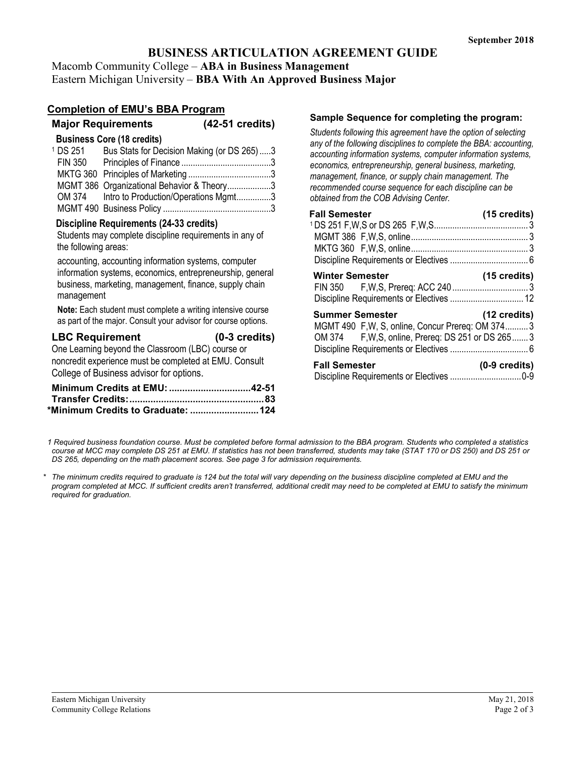# **BUSINESS ARTICULATION AGREEMENT GUIDE**

Macomb Community College – **ABA in Business Management** Eastern Michigan University – **BBA With An Approved Business Major**

# **Completion of EMU's BBA Program**

|                     | <b>Major Requirements</b>                   | $(42-51 \text{ credits})$ |
|---------------------|---------------------------------------------|---------------------------|
|                     | <b>Business Core (18 credits)</b>           |                           |
| <sup>1</sup> DS 251 | Bus Stats for Decision Making (or DS 265)3  |                           |
|                     |                                             |                           |
|                     |                                             |                           |
|                     | MGMT 386 Organizational Behavior & Theory3  |                           |
|                     | OM 374 Intro to Production/Operations Mgmt3 |                           |
|                     |                                             |                           |

#### **Discipline Requirements (24-33 credits)**

Students may complete discipline requirements in any of the following areas:

accounting, accounting information systems, computer information systems, economics, entrepreneurship, general business, marketing, management, finance, supply chain management

**Note:** Each student must complete a writing intensive course as part of the major. Consult your advisor for course options.

# **LBC Requirement (0-3 credits)**

One Learning beyond the Classroom (LBC) course or noncredit experience must be completed at EMU. Consult College of Business advisor for options.

| *Minimum Credits to Graduate:  124 |  |
|------------------------------------|--|

#### **Sample Sequence for completing the program:**

*Students following this agreement have the option of selecting any of the following disciplines to complete the BBA: accounting, accounting information systems, computer information systems, economics, entrepreneurship, general business, marketing, management, finance, or supply chain management. The recommended course sequence for each discipline can be obtained from the COB Advising Center.* 

| <b>Fall Semester</b>                                                                                                            | $(15 \text{ credits})$  |
|---------------------------------------------------------------------------------------------------------------------------------|-------------------------|
|                                                                                                                                 |                         |
| <b>Winter Semester</b>                                                                                                          | $(15 \text{ credits})$  |
| <b>Summer Semester</b><br>MGMT 490 F.W. S. online, Concur Prereg: OM 3743<br>OM 374 F, W, S, online, Prereq: DS 251 or DS 265 3 | $(12 \text{ credits})$  |
| <b>Fall Semester</b>                                                                                                            | $(0-9 \text{ credits})$ |

*1 Required business foundation course. Must be completed before formal admission to the BBA program. Students who completed a statistics course at MCC may complete DS 251 at EMU. If statistics has not been transferred, students may take (STAT 170 or DS 250) and DS 251 or DS 265, depending on the math placement scores. See page 3 for admission requirements.* 

*\* The minimum credits required to graduate is 124 but the total will vary depending on the business discipline completed at EMU and the program completed at MCC. If sufficient credits aren't transferred, additional credit may need to be completed at EMU to satisfy the minimum required for graduation.*